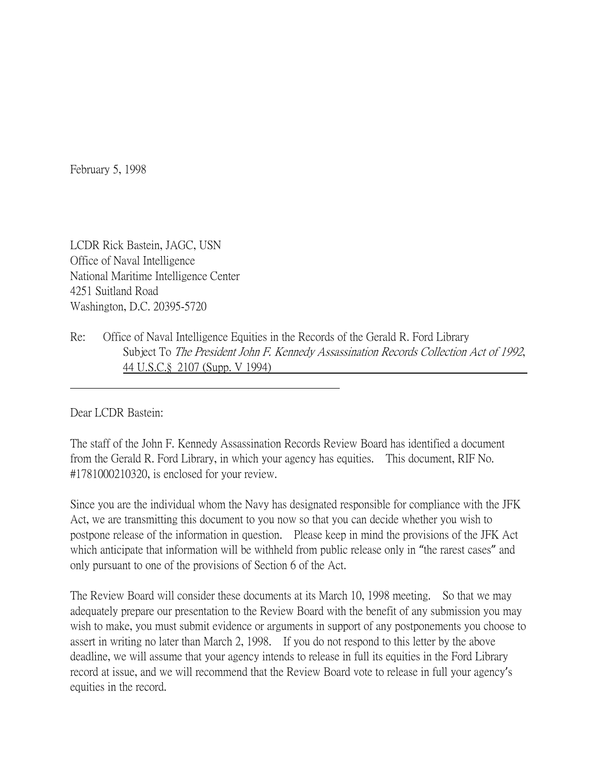February 5, 1998

LCDR Rick Bastein, JAGC, USN Office of Naval Intelligence National Maritime Intelligence Center 4251 Suitland Road Washington, D.C. 20395-5720

Re: Office of Naval Intelligence Equities in the Records of the Gerald R. Ford Library Subject To The President John F. Kennedy Assassination Records Collection Act of 1992, 44 U.S.C.§ 2107 (Supp. V 1994)

Dear LCDR Bastein:

The staff of the John F. Kennedy Assassination Records Review Board has identified a document from the Gerald R. Ford Library, in which your agency has equities. This document, RIF No. #1781000210320, is enclosed for your review.

Since you are the individual whom the Navy has designated responsible for compliance with the JFK Act, we are transmitting this document to you now so that you can decide whether you wish to postpone release of the information in question. Please keep in mind the provisions of the JFK Act which anticipate that information will be withheld from public release only in "the rarest cases" and only pursuant to one of the provisions of Section 6 of the Act.

The Review Board will consider these documents at its March 10, 1998 meeting. So that we may adequately prepare our presentation to the Review Board with the benefit of any submission you may wish to make, you must submit evidence or arguments in support of any postponements you choose to assert in writing no later than March 2, 1998. If you do not respond to this letter by the above deadline, we will assume that your agency intends to release in full its equities in the Ford Library record at issue, and we will recommend that the Review Board vote to release in full your agency's equities in the record.